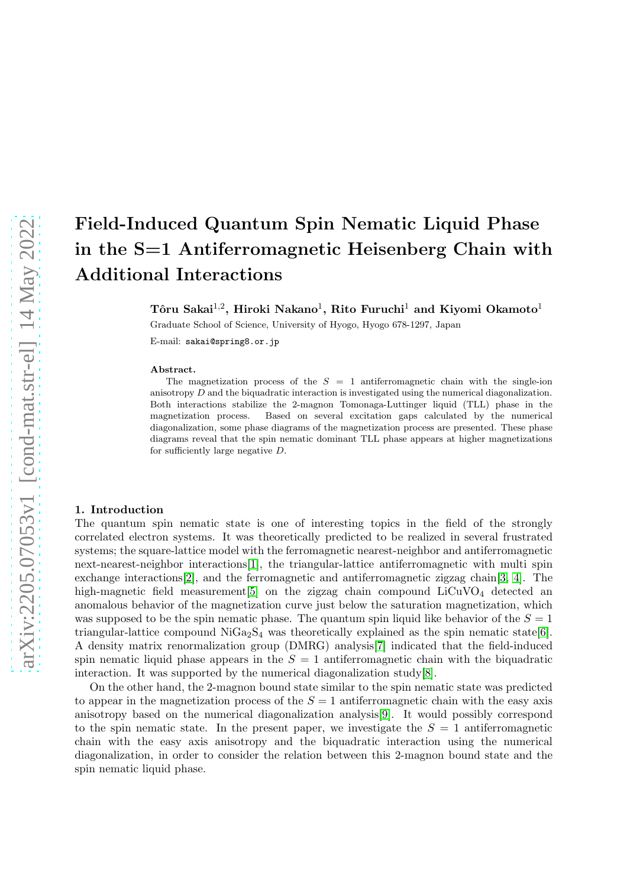# Field-Induced Quantum Spin Nematic Liquid Phase in the S=1 Antiferromagnetic Heisenberg Chain with Additional Interactions

Tôru Sakai $^{1,2}$ , Hiroki Nakano $^{1}$ , Rito Furuchi $^{1}$  and Kiyomi Okamoto $^{1}$ 

Graduate School of Science, University of Hyogo, Hyogo 678-1297, Japan

E-mail: sakai@spring8.or.jp

#### Abstract.

The magnetization process of the  $S = 1$  antiferromagnetic chain with the single-ion anisotropy D and the biquadratic interaction is investigated using the numerical diagonalization. Both interactions stabilize the 2-magnon Tomonaga-Luttinger liquid (TLL) phase in the magnetization process. Based on several excitation gaps calculated by the numerical diagonalization, some phase diagrams of the magnetization process are presented. These phase diagrams reveal that the spin nematic dominant TLL phase appears at higher magnetizations for sufficiently large negative D.

### 1. Introduction

The quantum spin nematic state is one of interesting topics in the field of the strongly correlated electron systems. It was theoretically predicted to be realized in several frustrated systems; the square-lattice model with the ferromagnetic nearest-neighbor and antiferromagnetic next-nearest-neighbor interactions[\[1\]](#page-3-0), the triangular-lattice antiferromagnetic with multi spin exchange interactions[\[2\]](#page-3-1), and the ferromagnetic and antiferromagnetic zigzag chain[\[3,](#page-3-2) [4\]](#page-3-3). The high-magnetic field measurement<sup>[\[5\]](#page-3-4)</sup> on the zigzag chain compound  $LiCuVO<sub>4</sub>$  detected an anomalous behavior of the magnetization curve just below the saturation magnetization, which was supposed to be the spin nematic phase. The quantum spin liquid like behavior of the  $S = 1$ triangular-lattice compound  $NIGa<sub>2</sub>S<sub>4</sub>$  was theoretically explained as the spin nematic state[\[6\]](#page-3-5). A density matrix renormalization group (DMRG) analysis[\[7\]](#page-3-6) indicated that the field-induced spin nematic liquid phase appears in the  $S = 1$  antiferromagnetic chain with the biquadratic interaction. It was supported by the numerical diagonalization study[\[8\]](#page-3-7).

On the other hand, the 2-magnon bound state similar to the spin nematic state was predicted to appear in the magnetization process of the  $S = 1$  antiferromagnetic chain with the easy axis anisotropy based on the numerical diagonalization analysis[\[9\]](#page-3-8). It would possibly correspond to the spin nematic state. In the present paper, we investigate the  $S = 1$  antiferromagnetic chain with the easy axis anisotropy and the biquadratic interaction using the numerical diagonalization, in order to consider the relation between this 2-magnon bound state and the spin nematic liquid phase.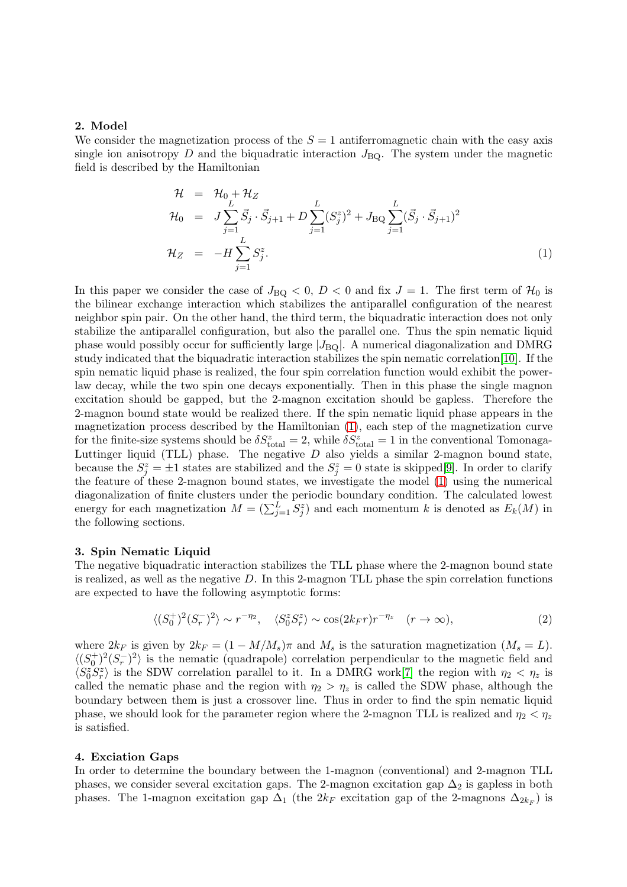## 2. Model

We consider the magnetization process of the  $S = 1$  antiferromagnetic chain with the easy axis single ion anisotropy D and the biquadratic interaction  $J_{BQ}$ . The system under the magnetic field is described by the Hamiltonian

<span id="page-1-0"></span>
$$
\mathcal{H} = \mathcal{H}_0 + \mathcal{H}_Z \n\mathcal{H}_0 = J \sum_{j=1}^{L} \vec{S}_j \cdot \vec{S}_{j+1} + D \sum_{j=1}^{L} (S_j^z)^2 + J_{\text{BQ}} \sum_{j=1}^{L} (\vec{S}_j \cdot \vec{S}_{j+1})^2 \n\mathcal{H}_Z = -H \sum_{j=1}^{L} S_j^z.
$$
\n(1)

In this paper we consider the case of  $J_{BQ} < 0$ ,  $D < 0$  and fix  $J = 1$ . The first term of  $\mathcal{H}_0$  is the bilinear exchange interaction which stabilizes the antiparallel configuration of the nearest neighbor spin pair. On the other hand, the third term, the biquadratic interaction does not only stabilize the antiparallel configuration, but also the parallel one. Thus the spin nematic liquid phase would possibly occur for sufficiently large  $|J_{BQ}|$ . A numerical diagonalization and DMRG study indicated that the biquadratic interaction stabilizes the spin nematic correlation[\[10\]](#page-3-9). If the spin nematic liquid phase is realized, the four spin correlation function would exhibit the powerlaw decay, while the two spin one decays exponentially. Then in this phase the single magnon excitation should be gapped, but the 2-magnon excitation should be gapless. Therefore the 2-magnon bound state would be realized there. If the spin nematic liquid phase appears in the magnetization process described by the Hamiltonian [\(1\)](#page-1-0), each step of the magnetization curve for the finite-size systems should be  $\delta S_{\text{total}}^z = 2$ , while  $\delta S_{\text{total}}^z = 1$  in the conventional Tomonaga-Luttinger liquid (TLL) phase. The negative  $D$  also yields a similar 2-magnon bound state, because the  $S_j^z = \pm 1$  states are stabilized and the  $S_j^z = 0$  state is skipped[\[9\]](#page-3-8). In order to clarify the feature of these 2-magnon bound states, we investigate the model [\(1\)](#page-1-0) using the numerical diagonalization of finite clusters under the periodic boundary condition. The calculated lowest energy for each magnetization  $M = (\sum_{j=1}^{L} S_j^z)$  and each momentum k is denoted as  $E_k(M)$  in the following sections.

## 3. Spin Nematic Liquid

The negative biquadratic interaction stabilizes the TLL phase where the 2-magnon bound state is realized, as well as the negative  $D$ . In this 2-magnon TLL phase the spin correlation functions are expected to have the following asymptotic forms:

$$
\langle (S_0^+)^2 (S_r^-)^2 \rangle \sim r^{-\eta_2}, \quad \langle S_0^z S_r^z \rangle \sim \cos(2k_F r) r^{-\eta_z} \quad (r \to \infty), \tag{2}
$$

where  $2k_F$  is given by  $2k_F = (1 - M/M_s)\pi$  and  $M_s$  is the saturation magnetization  $(M_s = L)$ .  $\langle (S_0^+)^2 (S_r^-)$  $\langle r \rangle$  is the nematic (quadrapole) correlation perpendicular to the magnetic field and  $\langle S_0^z S_r^z \rangle$  is the SDW correlation parallel to it. In a DMRG work[\[7\]](#page-3-6) the region with  $\eta_2 < \eta_z$  is called the nematic phase and the region with  $\eta_2 > \eta_z$  is called the SDW phase, although the boundary between them is just a crossover line. Thus in order to find the spin nematic liquid phase, we should look for the parameter region where the 2-magnon TLL is realized and  $\eta_2 < \eta_2$ is satisfied.

## 4. Exciation Gaps

In order to determine the boundary between the 1-magnon (conventional) and 2-magnon TLL phases, we consider several excitation gaps. The 2-magnon excitation gap  $\Delta_2$  is gapless in both phases. The 1-magnon excitation gap  $\Delta_1$  (the  $2k_F$  excitation gap of the 2-magnons  $\Delta_{2k_F}$ ) is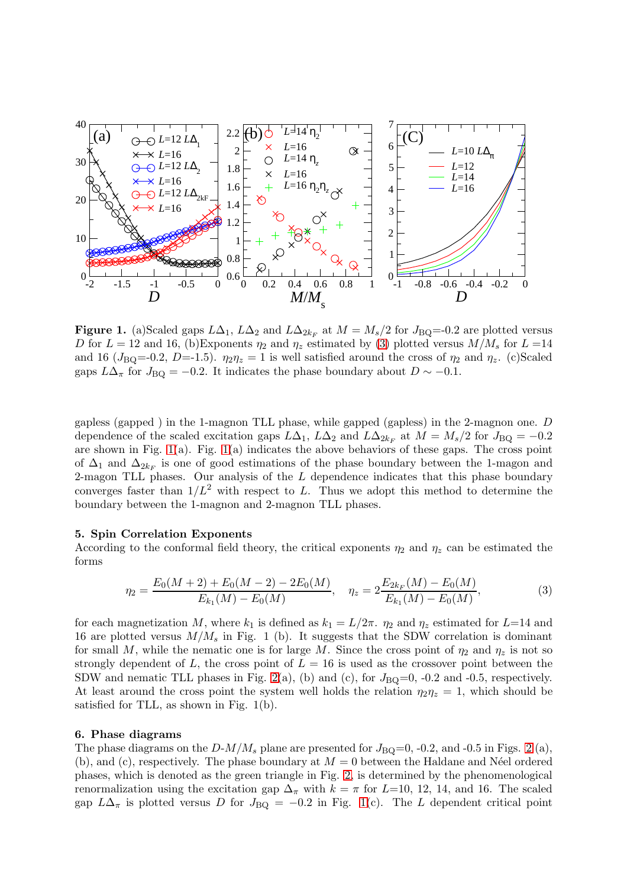

<span id="page-2-1"></span>Figure 1. (a)Scaled gaps  $L\Delta_1$ ,  $L\Delta_2$  and  $L\Delta_{2k_F}$  at  $M = M_s/2$  for  $J_{\text{BQ}} = 0.2$  are plotted versus D for  $L = 12$  and 16, (b) Exponents  $\eta_2$  and  $\eta_z$  estimated by [\(3\)](#page-2-0) plotted versus  $M/M_s$  for  $L = 14$ and 16 ( $J_{\text{BQ}}$ =-0.2, D=-1.5).  $\eta_2 \eta_z = 1$  is well satisfied around the cross of  $\eta_2$  and  $\eta_z$ . (c)Scaled gaps  $L\Delta_{\pi}$  for  $J_{\text{BQ}} = -0.2$ . It indicates the phase boundary about  $D \sim -0.1$ .

gapless (gapped ) in the 1-magnon TLL phase, while gapped (gapless) in the 2-magnon one. D dependence of the scaled excitation gaps  $L\Delta_1$ ,  $L\Delta_2$  and  $L\Delta_{2k_F}$  at  $M = M_s/2$  for  $J_{\rm BQ} = -0.2$ are shown in Fig.  $1(a)$ . Fig.  $1(a)$  indicates the above behaviors of these gaps. The cross point of  $\Delta_1$  and  $\Delta_{2k_F}$  is one of good estimations of the phase boundary between the 1-magon and 2-magon TLL phases. Our analysis of the  $L$  dependence indicates that this phase boundary converges faster than  $1/L^2$  with respect to L. Thus we adopt this method to determine the boundary between the 1-magnon and 2-magnon TLL phases.

## 5. Spin Correlation Exponents

According to the conformal field theory, the critical exponents  $\eta_2$  and  $\eta_z$  can be estimated the forms

<span id="page-2-0"></span>
$$
\eta_2 = \frac{E_0(M+2) + E_0(M-2) - 2E_0(M)}{E_{k_1}(M) - E_0(M)}, \quad \eta_z = 2 \frac{E_{2k_F}(M) - E_0(M)}{E_{k_1}(M) - E_0(M)},
$$
\n(3)

for each magnetization M, where  $k_1$  is defined as  $k_1 = L/2\pi$ .  $\eta_2$  and  $\eta_z$  estimated for  $L=14$  and 16 are plotted versus  $M/M_s$  in Fig. 1 (b). It suggests that the SDW correlation is dominant for small M, while the nematic one is for large M. Since the cross point of  $\eta_2$  and  $\eta_z$  is not so strongly dependent of L, the cross point of  $L = 16$  is used as the crossover point between the SDW and nematic TLL phases in Fig. [2\(](#page-3-10)a), (b) and (c), for  $J_{BQ}=0$ , -0.2 and -0.5, respectively. At least around the cross point the system well holds the relation  $\eta_2 \eta_2 = 1$ , which should be satisfied for TLL, as shown in Fig. 1(b).

### 6. Phase diagrams

The phase diagrams on the  $D-M/M_s$  plane are presented for  $J_{BQ}=0$ , -0.2, and -0.5 in Figs. [2](#page-3-10) (a), (b), and (c), respectively. The phase boundary at  $M = 0$  between the Haldane and Néel ordered phases, which is denoted as the green triangle in Fig. [2,](#page-3-10) is determined by the phenomenological renormalization using the excitation gap  $\Delta_{\pi}$  with  $k = \pi$  for L=10, 12, 14, and 16. The scaled gap  $L\Delta_{\pi}$  is plotted versus D for  $J_{BQ} = -0.2$  in Fig. [1\(](#page-2-1)c). The L dependent critical point